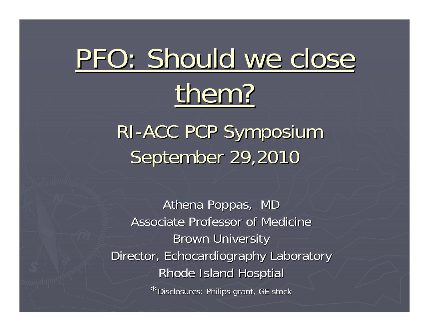# PFO: Should we close

# them?

RI -ACC PCP Symposium September 29,2010

Athena Poppas, MD Associate Professor of Medicine **Brown University** Director, Echocardiography Laboratory Rhode Island Hosptial

\* Disclosures: Philips grant, GE stock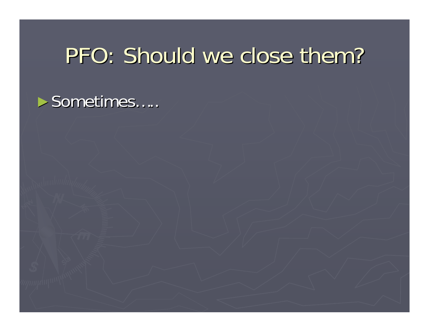#### PFO: Should we close them?

#### $\blacktriangleright$  Sometimes.....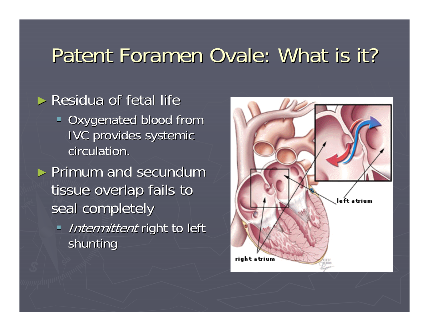#### Patent Foramen Ovale: What is it?

#### $\blacktriangleright$  Residua of fetal life **Oxygenated blood from IVC provides systemic** circulation.  $\triangleright$  Primum and secundum tissue overlap fails to seal completely Intermittent right to left shunting

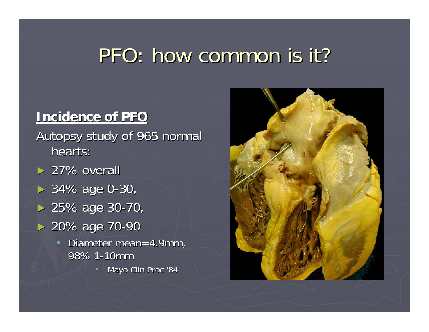#### PFO: how common is it?

#### **Incidence of PFO Incidence of PFO**

Autopsy study of 965 normal hearts:  $> 27\%$  overall  $> 34\%$  age 0-30,

- $> 25\%$  age 30-70,
- ► 20% age 70-90
	- $\blacksquare$ Diameter mean=4.9mm, 98% 1-10mm
		- $\blacksquare$  Mayo Clin Proc '84

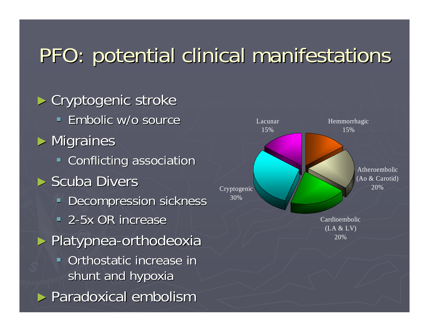#### PFO: potential clinical manifestations

► Cryptogenic stroke **Embolic w/o source**  $\blacktriangleright$  Migraines **EXECONFLICTING ASSOCIATION**  $\blacktriangleright$  Scuba Divers **Decompression sickness** <sup>-</sup> 2-5x OR increase ► Platypnea-orthodeoxia Orthostatic increase in shunt and hypoxia ► Paradoxical embolism

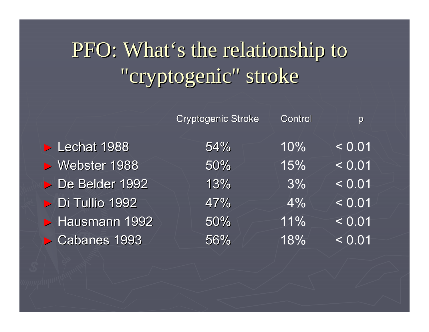## PFO: What's the relationship to "cryptogenic" stroke

|                | <b>Cryptogenic Stroke</b> | Control | p      |
|----------------|---------------------------|---------|--------|
| Lechat 1988    | 54%                       | 10%     | < 0.01 |
| ▶ Webster 1988 | 50%                       | 15%     | < 0.01 |
| De Belder 1992 | 13%                       | 3%      | < 0.01 |
| Di Tullio 1992 | 47%                       | 4%      | < 0.01 |
| Hausmann 1992  | 50%                       | 11%     | < 0.01 |
| Cabanes 1993   | 56%                       | 18%     | < 0.01 |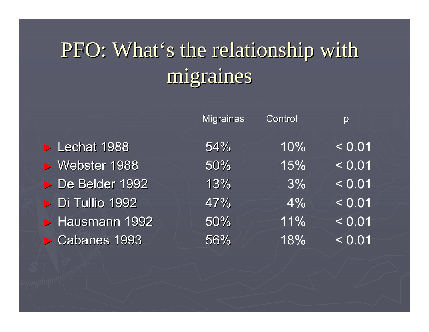## PFO: What's the relationship with migraines migraines

|                | <b>Migraines</b> | Control | p                  |
|----------------|------------------|---------|--------------------|
| Lechat 1988    | 54%              | 10%     | < 0.01             |
| ▶ Webster 1988 | 50%              | 15%     | $\overline{>0.01}$ |
| De Belder 1992 | 13%              | 3%      | < 0.01             |
| Di Tullio 1992 | 47%              | 4%      | < 0.01             |
| Hausmann 1992  | 50%              | 11%     | < 0.01             |
| Cabanes 1993   | 56%              | 18%     | < 0.01             |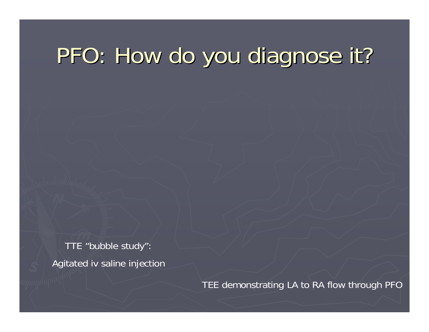## PFO: How do you diagnose it?

TTE "bubble study": Agitated iv saline injection

TEE demonstrating LA to RA flow through PFO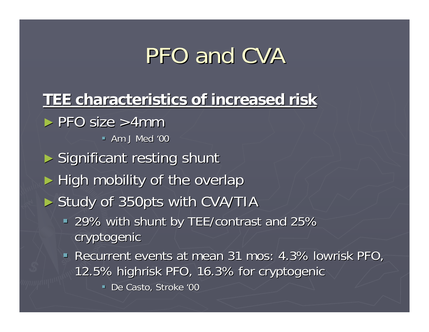## PFO and CVA

#### **TEE characteristics of increased risk TEE characteristics of increased risk**

 $\blacktriangleright$  PFO size  $>4$ mm

 $-$  Am J Med '00

- $\blacktriangleright$  Significant resting shunt
- $\blacktriangleright$  High mobility of the overlap
- ► Study of 350pts with CVA/TIA
	- 29% with shunt by TEE/contrast and 25% 29% with shunt by TEE/contrast and 25% cryptogenic
	- **Recurrent events at mean 31 mos: 4.3% lowrisk PFO,** 12.5% highrisk PFO, 16.3% for cryptogenic 12.5% highrisk PFO, 16.3% for cryptogenic
		- De Casto, Stroke '00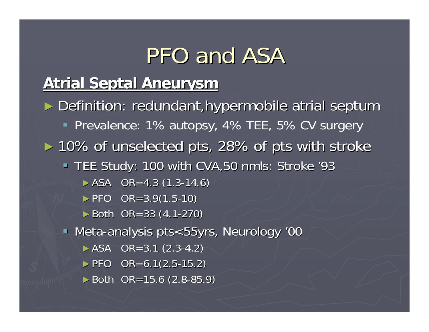## PFO and ASA

#### **Atrial Septal Aneurysm Atrial Septal Aneurysm**

► Definition: redundant,hypermobile atrial septum Prevalence: 1% autopsy, 4% TEE, 5% CV surgery ► 10% of unselected pts, 28% of pts with stroke TEE Study: 100 with CVA,50 nmls: Stroke '93  $\triangleright$  ASA OR=4.3 (1.3-14.6)  $\triangleright$  PFO OR=3.9(1.5-10)  $\triangleright$  Both OR=33 (4.1-270) • Meta-analysis pts<55yrs, Neurology '00  $\triangleright$  ASA OR=3.1 (2.3-4.2)  $\triangleright$  PFO OR=6.1(2.5-15.2)  $\blacktriangleright$  Both OR=15.6 (2.8-85.9)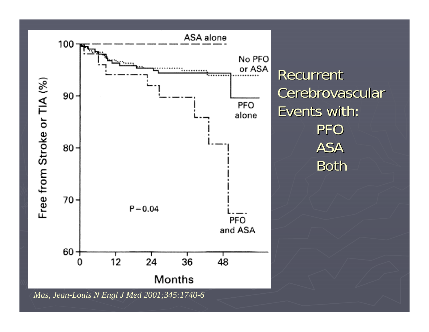

Recurrent Cerebrovascular Events with: PFO ASA Both

*Mas, Jean-Louis N Engl J Med 2001;345:1740-6*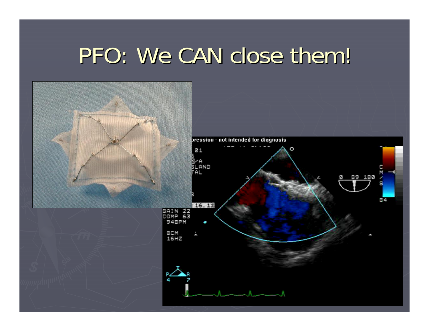## PFO: We CAN close them!

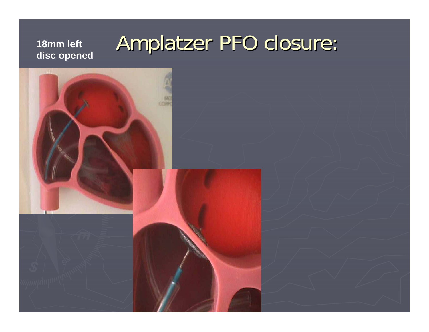# Amplatzer PFO closure: Amplatzer PFO closure: **18mm left disc opened**

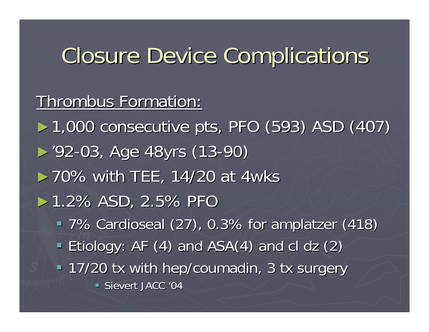## Closure Device Complications Closure Device Complications

#### Thrombus Formation:

► 1,000 consecutive pts, PFO (593) ASD (407)

- ►'92 -03, Age 48yrs (13 03, Age 48yrs (13-90)
- $>$  70% with TEE, 14/20 at 4wks
- $>1.2\%$  ASD, 2.5% PFO
	- 7% Cardioseal (27), 0.3% for amplatzer (418) 7% Cardioseal (27), 0.3% for amplatzer (418)
	- Etiology: AF  $(4)$  and ASA $(4)$  and cl dz  $(2)$
	- 17/20 tx with hep/coumadin, 3 tx surgery 17/20 tx with hep/coumadin, 3 tx surgery
		- Sievert JACC '04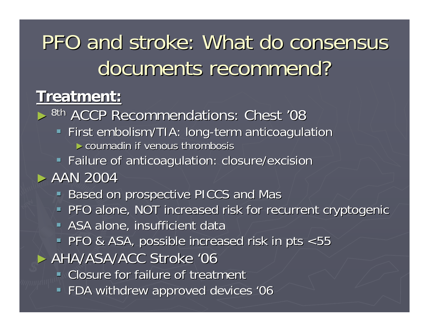## PFO and stroke: What do consensus documents recommend?

#### **Treatment: Treatment:**

► <sup>8th</sup> ACCP Recommendations: Chest '08 **First embolism/TIA: long-term anticoagulation**  $\blacktriangleright$  coumadin if venous thrombosis **Failure of anticoagulation: closure/excision**  $\triangleright$  AAN 2004 **Based on prospective PICCS and Mas PFO alone, NOT increased risk for recurrent cryptogenic ASA alone, insufficient data** PFO & ASA, possible increased risk in pts <55 ► AHA/ASA/ACC Stroke '06 **EXTE** Closure for failure of treatment **FDA withdrew approved devices '06**